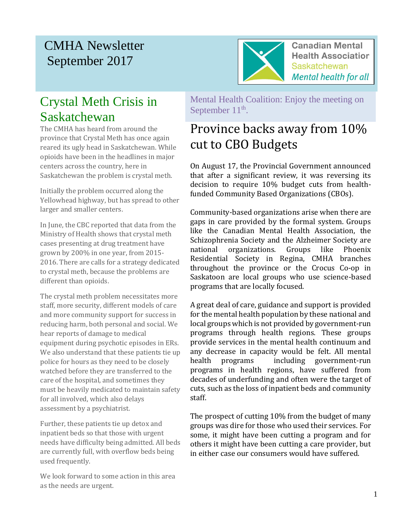# CMHA Newsletter September 2017



**Canadian Mental Health Association Saskatchewan Mental health for all** 

# Crystal Meth Crisis in Saskatchewan

The CMHA has heard from around the province that Crystal Meth has once again reared its ugly head in Saskatchewan. While opioids have been in the headlines in major centers across the country, here in Saskatchewan the problem is crystal meth.

Initially the problem occurred along the Yellowhead highway, but has spread to other larger and smaller centers.

In June, the CBC reported that data from the Ministry of Health shows that crystal meth cases presenting at drug treatment have grown by 200% in one year, from 2015- 2016. There are calls for a strategy dedicated to crystal meth, because the problems are different than opioids.

The crystal meth problem necessitates more staff, more security, different models of care and more community support for success in reducing harm, both personal and social. We hear reports of damage to medical equipment during psychotic episodes in ERs. We also understand that these patients tie up police for hours as they need to be closely watched before they are transferred to the care of the hospital, and sometimes they must be heavily medicated to maintain safety for all involved, which also delays assessment by a psychiatrist.

Further, these patients tie up detox and inpatient beds so that those with urgent needs have difficulty being admitted. All beds are currently full, with overflow beds being used frequently.

We look forward to some action in this area as the needs are urgent.

Mental Health Coalition: Enjoy the meeting on September  $11<sup>th</sup>$ .

# Province backs away from 10% cut to CBO Budgets

On August 17, the Provincial Government announced that after a significant review, it was reversing its decision to require 10% budget cuts from healthfunded Community Based Organizations (CBOs).

Community-based organizations arise when there are gaps in care provided by the formal system. Groups like the Canadian Mental Health Association, the Schizophrenia Society and the Alzheimer Society are national organizations. Groups like Phoenix Residential Society in Regina, CMHA branches throughout the province or the Crocus Co-op in Saskatoon are local groups who use science-based programs that are locally focused.

A great deal of care, guidance and support is provided for the mental health population by these national and local groups which is not provided by government-run programs through health regions. These groups provide services in the mental health continuum and any decrease in capacity would be felt. All mental health programs including government-run programs in health regions, have suffered from decades of underfunding and often were the target of cuts, such as the loss of inpatient beds and community staff.

The prospect of cutting 10% from the budget of many groups was dire for those who used their services. For some, it might have been cutting a program and for others it might have been cutting a care provider, but in either case our consumers would have suffered.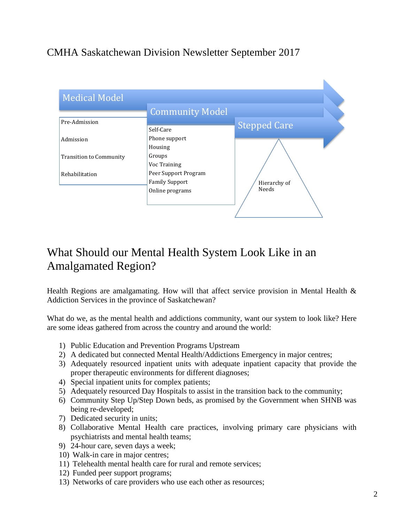### CMHA Saskatchewan Division Newsletter September 2017



## What Should our Mental Health System Look Like in an Amalgamated Region?

Health Regions are amalgamating. How will that affect service provision in Mental Health  $\&$ Addiction Services in the province of Saskatchewan?

What do we, as the mental health and addictions community, want our system to look like? Here are some ideas gathered from across the country and around the world:

- 1) Public Education and Prevention Programs Upstream
- 2) A dedicated but connected Mental Health/Addictions Emergency in major centres;
- 3) Adequately resourced inpatient units with adequate inpatient capacity that provide the proper therapeutic environments for different diagnoses;
- 4) Special inpatient units for complex patients;
- 5) Adequately resourced Day Hospitals to assist in the transition back to the community;
- 6) Community Step Up/Step Down beds, as promised by the Government when SHNB was being re-developed;
- 7) Dedicated security in units;
- 8) Collaborative Mental Health care practices, involving primary care physicians with psychiatrists and mental health teams;
- 9) 24-hour care, seven days a week;
- 10) Walk-in care in major centres;
- 11) Telehealth mental health care for rural and remote services;
- 12) Funded peer support programs;
- 13) Networks of care providers who use each other as resources;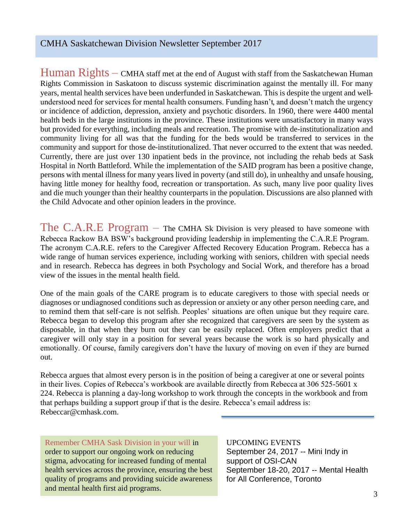$Human$   $Right$   $\mathcal{S}-\text{CMHA}$  staff met at the end of August with staff from the Saskatchewan Human Rights Commission in Saskatoon to discuss systemic discrimination against the mentally ill. For many years, mental health services have been underfunded in Saskatchewan. This is despite the urgent and wellunderstood need for services for mental health consumers. Funding hasn't, and doesn't match the urgency or incidence of addiction, depression, anxiety and psychotic disorders. In 1960, there were 4400 mental health beds in the large institutions in the province. These institutions were unsatisfactory in many ways but provided for everything, including meals and recreation. The promise with de-institutionalization and community living for all was that the funding for the beds would be transferred to services in the community and support for those de-institutionalized. That never occurred to the extent that was needed. Currently, there are just over 130 inpatient beds in the province, not including the rehab beds at Sask Hospital in North Battleford. While the implementation of the SAID program has been a positive change, persons with mental illness for many years lived in poverty (and still do), in unhealthy and unsafe housing, having little money for healthy food, recreation or transportation. As such, many live poor quality lives and die much younger than their healthy counterparts in the population. Discussions are also planned with the Child Advocate and other opinion leaders in the province.

The  $C.A.R.E$  Program – The CMHA Sk Division is very pleased to have someone with Rebecca Rackow BA BSW's background providing leadership in implementing the C.A.R.E Program. The acronym C.A.R.E. refers to the Caregiver Affected Recovery Education Program. Rebecca has a wide range of human services experience, including working with seniors, children with special needs and in research. Rebecca has degrees in both Psychology and Social Work, and therefore has a broad view of the issues in the mental health field.

One of the main goals of the CARE program is to educate caregivers to those with special needs or diagnoses or undiagnosed conditions such as depression or anxiety or any other person needing care, and to remind them that self-care is not selfish. Peoples' situations are often unique but they require care. Rebecca began to develop this program after she recognized that caregivers are seen by the system as disposable, in that when they burn out they can be easily replaced. Often employers predict that a caregiver will only stay in a position for several years because the work is so hard physically and emotionally. Of course, family caregivers don't have the luxury of moving on even if they are burned out.

Rebecca argues that almost every person is in the position of being a caregiver at one or several points in their lives. Copies of Rebecca's workbook are available directly from Rebecca at 306 525-5601 x 224. Rebecca is planning a day-long workshop to work through the concepts in the workbook and from that perhaps building a support group if that is the desire. Rebecca's email address is: Rebeccar@cmhask.com.

Remember CMHA Sask Division in your will in order to support our ongoing work on reducing stigma, advocating for increased funding of mental health services across the province, ensuring the best quality of programs and providing suicide awareness and mental health first aid programs.

UPCOMING EVENTS September 24, 2017 -- Mini Indy in support of OSI-CAN September 18-20, 2017 -- Mental Health for All Conference, Toronto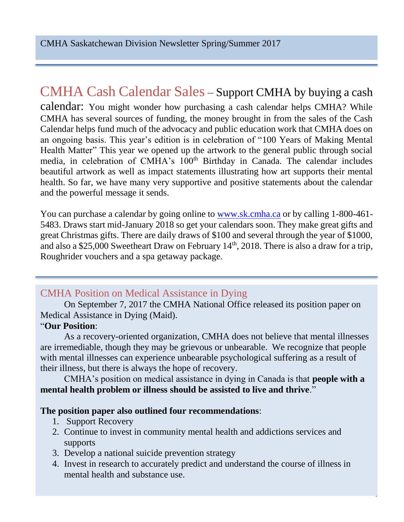## CMHA Cash Calendar Sales – Support CMHA by buying a cash

calendar: You might wonder how purchasing a cash calendar helps CMHA? While CMHA has several sources of funding, the money brought in from the sales of the Cash Calendar helps fund much of the advocacy and public education work that CMHA does on an ongoing basis. This year's edition is in celebration of "100 Years of Making Mental Health Matter" This year we opened up the artwork to the general public through social media, in celebration of CMHA's 100<sup>th</sup> Birthday in Canada. The calendar includes beautiful artwork as well as impact statements illustrating how art supports their mental health. So far, we have many very supportive and positive statements about the calendar and the powerful message it sends.

You can purchase a calendar by going online to [www.sk.cmha.ca](http://www.sk.cmha.ca/) or by calling 1-800-461-5483. Draws start mid-January 2018 so get your calendars soon. They make great gifts and great Christmas gifts. There are daily draws of \$100 and several through the year of \$1000, and also a \$25,000 Sweetheart Draw on February  $14<sup>th</sup>$ , 2018. There is also a draw for a trip, Roughrider vouchers and a spa getaway package.

### CMHA Position on Medical Assistance in Dying

On September 7, 2017 the CMHA National Office released its position paper on Medical Assistance in Dying (Maid).

#### "**Our Position**:

As a recovery-oriented organization, CMHA does not believe that mental illnesses are irremediable, though they may be grievous or unbearable. We recognize that people with mental illnesses can experience unbearable psychological suffering as a result of their illness, but there is always the hope of recovery.

CMHA's position on medical assistance in dying in Canada is that **people with a mental health problem or illness should be assisted to live and thrive**."

### **The position paper also outlined four recommendations**:

- 1. Support Recovery
- 2. Continue to invest in community mental health and addictions services and supports
- 3. Develop a national suicide prevention strategy
- 4. Invest in research to accurately predict and understand the course of illness in mental health and substance use.

4